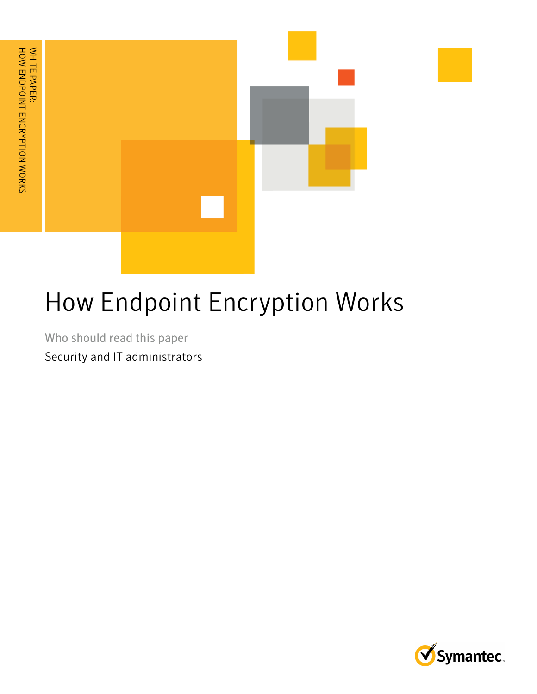

# How Endpoint Encryption Works

Who should read this paper Security and IT administrators

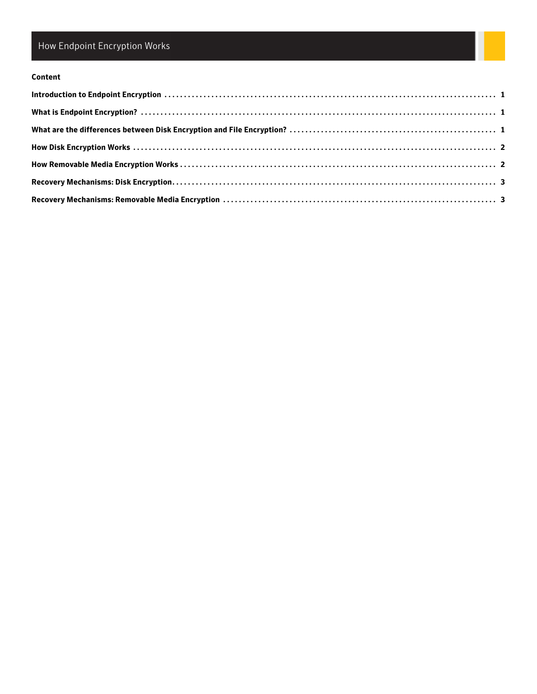## How Endpoint Encryption Works

#### **Content**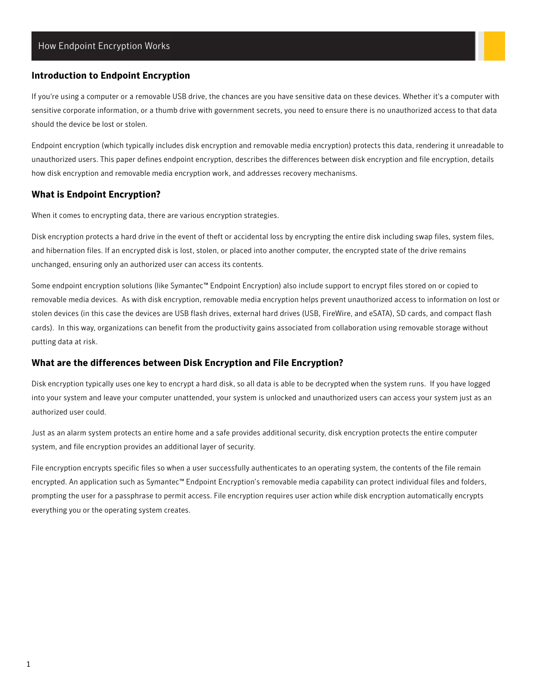#### <span id="page-3-0"></span>**Introduction to Endpoint Encryption**

If you're using a computer or a removable USB drive, the chances are you have sensitive data on these devices. Whether it's a computer with sensitive corporate information, or a thumb drive with government secrets, you need to ensure there is no unauthorized access to that data should the device be lost or stolen.

Endpoint encryption (which typically includes disk encryption and removable media encryption) protects this data, rendering it unreadable to unauthorized users. This paper defines endpoint encryption, describes the differences between disk encryption and file encryption, details how disk encryption and removable media encryption work, and addresses recovery mechanisms.

#### <span id="page-3-1"></span>**What is Endpoint Encryption?**

When it comes to encrypting data, there are various encryption strategies.

Disk encryption protects a hard drive in the event of theft or accidental loss by encrypting the entire disk including swap files, system files, and hibernation files. If an encrypted disk is lost, stolen, or placed into another computer, the encrypted state of the drive remains unchanged, ensuring only an authorized user can access its contents.

Some endpoint encryption solutions (like Symantec™ Endpoint Encryption) also include support to encrypt files stored on or copied to removable media devices. As with disk encryption, removable media encryption helps prevent unauthorized access to information on lost or stolen devices (in this case the devices are USB flash drives, external hard drives (USB, FireWire, and eSATA), SD cards, and compact flash cards). In this way, organizations can benefit from the productivity gains associated from collaboration using removable storage without putting data at risk.

#### <span id="page-3-2"></span>**What are the differences between Disk Encryption and File Encryption?**

Disk encryption typically uses one key to encrypt a hard disk, so all data is able to be decrypted when the system runs. If you have logged into your system and leave your computer unattended, your system is unlocked and unauthorized users can access your system just as an authorized user could.

Just as an alarm system protects an entire home and a safe provides additional security, disk encryption protects the entire computer system, and file encryption provides an additional layer of security.

File encryption encrypts specific files so when a user successfully authenticates to an operating system, the contents of the file remain encrypted. An application such as Symantec™ Endpoint Encryption's removable media capability can protect individual files and folders, prompting the user for a passphrase to permit access. File encryption requires user action while disk encryption automatically encrypts everything you or the operating system creates.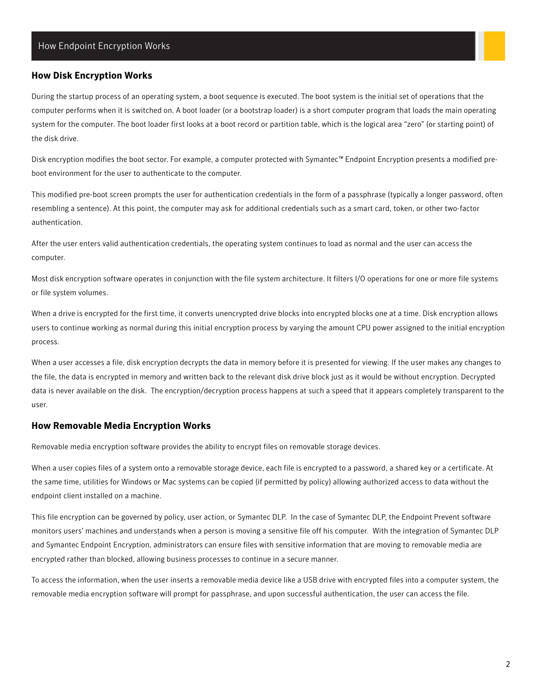#### <span id="page-4-0"></span>**How Disk Encryption Works**

During the startup process of an operating system, a boot sequence is executed. The boot system is the initial set of operations that the computer performs when it is switched on. A boot loader (or a bootstrap loader) is a short computer program that loads the main operating system for the computer. The boot loader first looks at a boot record or partition table, which is the logical area "zero" (or starting point) of the disk drive.

Disk encryption modifies the boot sector. For example, a computer protected with Symantec™ Endpoint Encryption presents a modified preboot environment for the user to authenticate to the computer.

This modified pre-boot screen prompts the user for authentication credentials in the form of a passphrase (typically a longer password, often resembling a sentence). At this point, the computer may ask for additional credentials such as a smart card, token, or other two-factor authentication.

After the user enters valid authentication credentials, the operating system continues to load as normal and the user can access the computer.

Most disk encryption software operates in conjunction with the file system architecture. It filters I/O operations for one or more file systems or file system volumes.

When a drive is encrypted for the first time, it converts unencrypted drive blocks into encrypted blocks one at a time. Disk encryption allows users to continue working as normal during this initial encryption process by varying the amount CPU power assigned to the initial encryption process.

When a user accesses a file, disk encryption decrypts the data in memory before it is presented for viewing. If the user makes any changes to the file, the data is encrypted in memory and written back to the relevant disk drive block just as it would be without encryption. Decrypted data is never available on the disk. The encryption/decryption process happens at such a speed that it appears completely transparent to the user.

#### <span id="page-4-1"></span>**How Removable Media Encryption Works**

Removable media encryption software provides the ability to encrypt files on removable storage devices.

When a user copies files of a system onto a removable storage device, each file is encrypted to a password, a shared key or a certificate. At the same time, utilities for Windows or Mac systems can be copied (if permitted by policy) allowing authorized access to data without the endpoint client installed on a machine.

This file encryption can be governed by policy, user action, or Symantec DLP. In the case of Symantec DLP, the Endpoint Prevent software monitors users' machines and understands when a person is moving a sensitive file off his computer. With the integration of Symantec DLP and Symantec Endpoint Encryption, administrators can ensure files with sensitive information that are moving to removable media are encrypted rather than blocked, allowing business processes to continue in a secure manner.

To access the information, when the user inserts a removable media device like a USB drive with encrypted files into a computer system, the removable media encryption software will prompt for passphrase, and upon successful authentication, the user can access the file.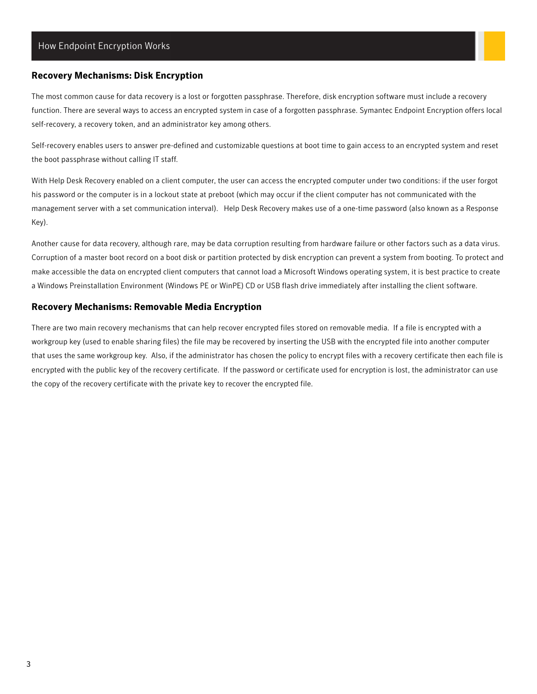#### <span id="page-5-0"></span>**Recovery Mechanisms: Disk Encryption**

The most common cause for data recovery is a lost or forgotten passphrase. Therefore, disk encryption software must include a recovery function. There are several ways to access an encrypted system in case of a forgotten passphrase. Symantec Endpoint Encryption offers local self-recovery, a recovery token, and an administrator key among others.

Self-recovery enables users to answer pre-defined and customizable questions at boot time to gain access to an encrypted system and reset the boot passphrase without calling IT staff.

With Help Desk Recovery enabled on a client computer, the user can access the encrypted computer under two conditions: if the user forgot his password or the computer is in a lockout state at preboot (which may occur if the client computer has not communicated with the management server with a set communication interval). Help Desk Recovery makes use of a one-time password (also known as a Response Key).

Another cause for data recovery, although rare, may be data corruption resulting from hardware failure or other factors such as a data virus. Corruption of a master boot record on a boot disk or partition protected by disk encryption can prevent a system from booting. To protect and make accessible the data on encrypted client computers that cannot load a Microsoft Windows operating system, it is best practice to create a Windows Preinstallation Environment (Windows PE or WinPE) CD or USB flash drive immediately after installing the client software.

#### <span id="page-5-1"></span>**Recovery Mechanisms: Removable Media Encryption**

There are two main recovery mechanisms that can help recover encrypted files stored on removable media. If a file is encrypted with a workgroup key (used to enable sharing files) the file may be recovered by inserting the USB with the encrypted file into another computer that uses the same workgroup key. Also, if the administrator has chosen the policy to encrypt files with a recovery certificate then each file is encrypted with the public key of the recovery certificate. If the password or certificate used for encryption is lost, the administrator can use the copy of the recovery certificate with the private key to recover the encrypted file.